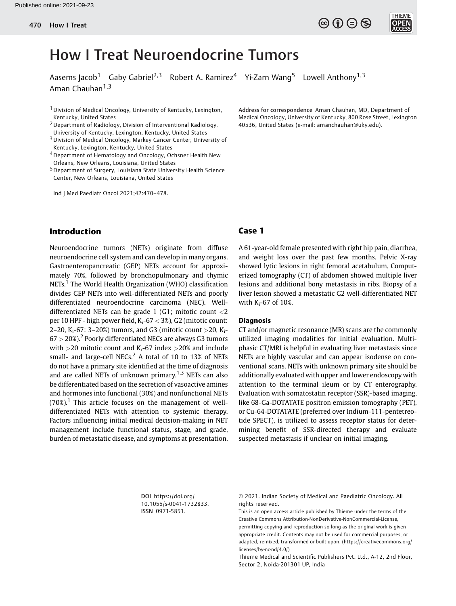Aasems Jacob<sup>1</sup> Gaby Gabriel<sup>2,3</sup> Robert A. Ramirez<sup>4</sup> Yi-Zarn Wang<sup>5</sup> Lowell Anthony<sup>1,3</sup> Aman Chauhan $1,3$ 

- 1Division of Medical Oncology, University of Kentucky, Lexington, Kentucky, United States
- 2Department of Radiology, Division of Interventional Radiology, University of Kentucky, Lexington, Kentucky, United States
- 3Division of Medical Oncology, Markey Cancer Center, University of Kentucky, Lexington, Kentucky, United States
- 4Department of Hematology and Oncology, Ochsner Health New Orleans, New Orleans, Louisiana, United States
- 5Department of Surgery, Louisiana State University Health Science Center, New Orleans, Louisiana, United States

Ind J Med Paediatr Oncol 2021;42:470–478.

# Introduction

Neuroendocrine tumors (NETs) originate from diffuse neuroendocrine cell system and can develop in many organs. Gastroenteropancreatic (GEP) NETs account for approximately 70%, followed by bronchopulmonary and thymic NETs.<sup>1</sup> The World Health Organization (WHO) classification divides GEP NETs into well-differentiated NETs and poorly differentiated neuroendocrine carcinoma (NEC). Welldifferentiated NETs can be grade 1 (G1; mitotic count <2 per 10 HPF - high power field,  $K_i$ -67  $<$  3%), G2 (mitotic count: 2–20,  $K_i$ -67: 3–20%) tumors, and G3 (mitotic count >20,  $K_i$ - $67 > 20\%)$ <sup>2</sup> Poorly differentiated NECs are always G3 tumors with  $>$ 20 mitotic count and K<sub>i</sub>-67 index  $>$ 20% and include small- and large-cell NECs. $<sup>2</sup>$  A total of 10 to 13% of NETs</sup> do not have a primary site identified at the time of diagnosis and are called NETs of unknown primary.<sup>1,3</sup> NETs can also be differentiated based on the secretion of vasoactive amines and hormones into functional (30%) and nonfunctional NETs  $(70\%)$ <sup>1</sup> This article focuses on the management of welldifferentiated NETs with attention to systemic therapy. Factors influencing initial medical decision-making in NET management include functional status, stage, and grade, burden of metastatic disease, and symptoms at presentation. Address for correspondence Aman Chauhan, MD, Department of Medical Oncology, University of Kentucky, 800 Rose Street, Lexington 40536, United States (e-mail: [amanchauhan@uky.edu](mailto:amanchauhan@uky.edu)).

 $\left(\begin{matrix} 6 \\ 0 \end{matrix}\right) \left(\begin{matrix} 6 \\ 7 \end{matrix}\right) \left(\begin{matrix} 6 \\ 7 \end{matrix}\right)$ 

# Case 1

A 61-year-old female presented with right hip pain, diarrhea, and weight loss over the past few months. Pelvic X-ray showed lytic lesions in right femoral acetabulum. Computerized tomography (CT) of abdomen showed multiple liver lesions and additional bony metastasis in ribs. Biopsy of a liver lesion showed a metastatic G2 well-differentiated NET with  $K_i$ -67 of 10%.

### Diagnosis

CT and/or magnetic resonance (MR) scans are the commonly utilized imaging modalities for initial evaluation. Multiphasic CT/MRI is helpful in evaluating liver metastasis since NETs are highly vascular and can appear isodense on conventional scans. NETs with unknown primary site should be additionally evaluated with upper and lower endoscopy with attention to the terminal ileum or by CT enterography. Evaluation with somatostatin receptor (SSR)-based imaging, like 68-Ga-DOTATATE positron emission tomography (PET), or Cu-64-DOTATATE (preferred over Indium-111-pentetreotide SPECT), is utilized to assess receptor status for determining benefit of SSR-directed therapy and evaluate suspected metastasis if unclear on initial imaging.

DOI [https://doi.org/](https://doi.org/10.1055/s-0041-1732833) [10.1055/s-0041-1732833](https://doi.org/10.1055/s-0041-1732833). ISSN 0971-5851.

© 2021. Indian Society of Medical and Paediatric Oncology. All rights reserved.

This is an open access article published by Thieme under the terms of the Creative Commons Attribution-NonDerivative-NonCommercial-License, permitting copying and reproduction so long as the original work is given appropriate credit. Contents may not be used for commercial purposes, or adapted, remixed, transformed or built upon. (https://creativecommons.org/ licenses/by-nc-nd/4.0/)

Thieme Medical and Scientific Publishers Pvt. Ltd., A-12, 2nd Floor, Sector 2, Noida-201301 UP, India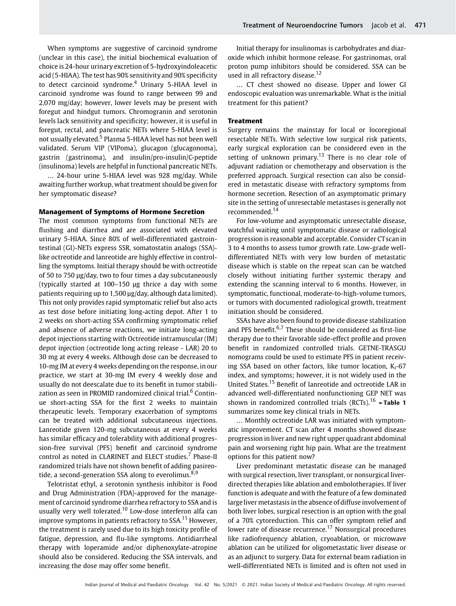When symptoms are suggestive of carcinoid syndrome (unclear in this case), the initial biochemical evaluation of choice is 24-hour urinary excretion of 5-hydroxyindoleacetic acid (5-HIAA). The test has 90% sensitivity and 90% specificity to detect carcinoid syndrome.<sup>4</sup> Urinary 5-HIAA level in carcinoid syndrome was found to range between 99 and 2,070 mg/day; however, lower levels may be present with foregut and hindgut tumors. Chromogranin and serotonin levels lack sensitivity and specificity; however, it is useful in foregut, rectal, and pancreatic NETs where 5-HIAA level is not usually elevated.<sup>5</sup> Plasma 5-HIAA level has not been well validated. Serum VIP (VIPoma), glucagon (glucagonoma), gastrin (gastrinoma), and insulin/pro-insulin/C-peptide (insulinoma) levels are helpful in functional pancreatic NETs.

… 24-hour urine 5-HIAA level was 928 mg/day. While awaiting further workup, what treatment should be given for her symptomatic disease?

### Management of Symptoms of Hormone Secretion

The most common symptoms from functional NETs are flushing and diarrhea and are associated with elevated urinary 5-HIAA. Since 80% of well-differentiated gastrointestinal (GI)-NETs express SSR, somatostatin analogs (SSA) like octreotide and lanreotide are highly effective in controlling the symptoms. Initial therapy should be with octreotide of 50 to 750 µg/day, two to four times a day subcutaneously (typically started at 100–150 µg thrice a day with some patients requiring up to 1,500 µg/day, although data limited). This not only provides rapid symptomatic relief but also acts as test dose before initiating long-acting depot. After 1 to 2 weeks on short-acting SSA confirming symptomatic relief and absence of adverse reactions, we initiate long-acting depot injections starting with Octreotide intramuscular (IM) depot injection (octreotide long acting release - LAR) 20 to 30 mg at every 4 weeks. Although dose can be decreased to 10-mg IM at every 4 weeks depending on the response, in our practice, we start at 30-mg IM every 4 weekly dose and usually do not deescalate due to its benefit in tumor stabilization as seen in PROMID randomized clinical trial.<sup>6</sup> Continue short-acting SSA for the first 2 weeks to maintain therapeutic levels. Temporary exacerbation of symptoms can be treated with additional subcutaneous injections. Lanreotide given 120-mg subcutaneous at every 4 weeks has similar efficacy and tolerability with additional progression-free survival (PFS) benefit and carcinoid syndrome control as noted in CLARINET and ELECT studies.<sup>7</sup> Phase-II randomized trials have not shown benefit of adding pasireotide, a second-generation SSA along to everolimus.<sup>8,9</sup>

Telotristat ethyl, a serotonin synthesis inhibitor is Food and Drug Administration (FDA)-approved for the management of carcinoid syndrome diarrhea refractory to SSA and is usually very well tolerated.<sup>10</sup> Low-dose interferon alfa can improve symptoms in patients refractory to  $SSA$ <sup>11</sup> However, the treatment is rarely used due to its high toxicity profile of fatigue, depression, and flu-like symptoms. Antidiarrheal therapy with loperamide and/or diphenoxylate-atropine should also be considered. Reducing the SSA intervals, and increasing the dose may offer some benefit.

Initial therapy for insulinomas is carbohydrates and diazoxide which inhibit hormone release. For gastrinomas, oral proton pump inhibitors should be considered. SSA can be used in all refractory disease.<sup>12</sup>

… CT chest showed no disease. Upper and lower GI endoscopic evaluation was unremarkable. What is the initial treatment for this patient?

### Treatment

Surgery remains the mainstay for local or locoregional resectable NETs. With selective low surgical risk patients, early surgical exploration can be considered even in the setting of unknown primary.<sup>13</sup> There is no clear role of adjuvant radiation or chemotherapy and observation is the preferred approach. Surgical resection can also be considered in metastatic disease with refractory symptoms from hormone secretion. Resection of an asymptomatic primary site in the setting of unresectable metastases is generally not recommended.<sup>14</sup>

For low-volume and asymptomatic unresectable disease, watchful waiting until symptomatic disease or radiological progression is reasonable and acceptable. Consider CT scan in 3 to 4 months to assess tumor growth rate. Low-grade welldifferentiated NETs with very low burden of metastatic disease which is stable on the repeat scan can be watched closely without initiating further systemic therapy and extending the scanning interval to 6 months. However, in symptomatic, functional, moderate-to-high-volume tumors, or tumors with documented radiological growth, treatment initiation should be considered.

SSAs have also been found to provide disease stabilization and PFS benefit. $6.7$  These should be considered as first-line therapy due to their favorable side-effect profile and proven benefit in randomized controlled trials. GETNE-TRASGU nomograms could be used to estimate PFS in patient receiving SSA based on other factors, like tumor location,  $K_i$ -67 index, and symptoms; however, it is not widely used in the United States.<sup>15</sup> Benefit of lanreotide and octreotide LAR in advanced well-differentiated nonfunctioning GEP NET was shown in randomized controlled trials (RCTs).<sup>16</sup>  $\sim$ **Table 1** summarizes some key clinical trials in NETs.

… Monthly octreotide LAR was initiated with symptomatic improvement. CT scan after 4 months showed disease progression in liver and new right upper quadrant abdominal pain and worsening right hip pain. What are the treatment options for this patient now?

Liver predominant metastatic disease can be managed with surgical resection, liver transplant, or nonsurgical liverdirected therapies like ablation and embolotherapies. If liver function is adequate and with the feature of a few dominated large liver metastasis in the absence of diffuse involvement of both liver lobes, surgical resection is an option with the goal of a 70% cytoreduction. This can offer symptom relief and lower rate of disease recurrence.<sup>17</sup> Nonsurgical procedures like radiofrequency ablation, cryoablation, or microwave ablation can be utilized for oligometastatic liver disease or as an adjunct to surgery. Data for external beam radiation in well-differentiated NETs is limited and is often not used in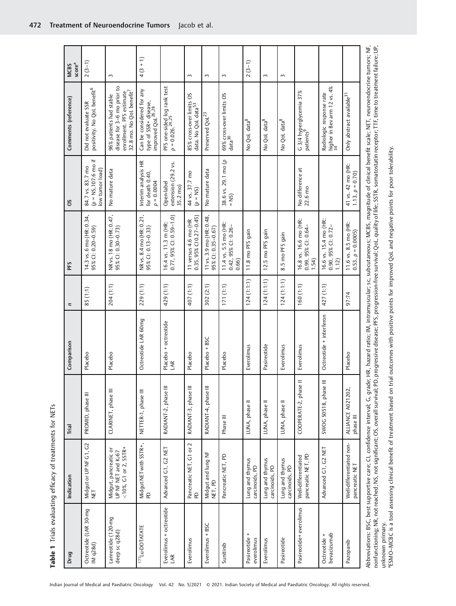Table 1 Trials evaluating efficacy of treatments for NETs Table 1 Trials evaluating efficacy of treatments for NETs

| Drug                                   | Indication                                                                                                                                                      | Trial                          | Comparison                  | n          | PFS                                                    | S                                                                     | Comments (reference)                                                                                                                                                                                                                                                             | score <sup>a</sup><br><b>MCBS</b> |
|----------------------------------------|-----------------------------------------------------------------------------------------------------------------------------------------------------------------|--------------------------------|-----------------------------|------------|--------------------------------------------------------|-----------------------------------------------------------------------|----------------------------------------------------------------------------------------------------------------------------------------------------------------------------------------------------------------------------------------------------------------------------------|-----------------------------------|
| Octreotide (LAR 30-mg<br>IM $q28d$     | Midgut or UP NF G1, G2<br>NET                                                                                                                                   | PROMID, phase III              | Placebo                     | 85(1:1)    | 14.3 vs. 6 mo (HR: 0.34,<br>95% CI: 0.20-0.59)         | $(p = NS, 107.6 \text{ mo if}$<br>84.7 vs. 83.7 mo<br>low tumor load) | positivity. No QoL benefit <sup>6</sup><br>Did not evaluate SSR                                                                                                                                                                                                                  | $2(3-1)$                          |
| Lanreotide (120-mg<br>deep sc q28d)    | $<$ 10%, G1 or 2, SSTR+<br>Midgut, pancreatic or<br>UP NF NET and K <sub>i</sub> -67                                                                            | CLARINET, phase III            | Placebo                     | 204 (1:1)  | NR vs. 18 mo (HR: 0.47,<br>95% CI: 0.30-0.73)          | No mature data                                                        | disease for 3-6 mo prior to<br>32.8 mo. No QoL benefit <sup>7</sup><br>enrollment. PFS estimate<br>96% patients had stable                                                                                                                                                       | 3                                 |
| <sup>177</sup> Lu-DOTATATE             | Midgut NET with SSTR+,<br>PD                                                                                                                                    | NETTER-1, phase III            | Octreotide LAR 60mg         | 229 (1:1)  | NR vs. 8.4 mo (HR: 0.21,<br>95% Cl: 0.13–0.33)         | Interim analysis HR<br>for death 0.40,<br>$p = 0.0004$                | Can be considered for any<br>type of SSR+ disease,<br>improved QoL <sup>26,28</sup>                                                                                                                                                                                              | $4(3 + 1)$                        |
| Everolimus + octreotide<br>LAR         | Advanced G1, G2 NET                                                                                                                                             | RADIANT-2, phase III           | Placebo + octreotide<br>LAR | 429 (1:1)  | 0.77, 95% CI: 0.59-1.0)<br>16.4 vs. 11.3 m (HR:        | extension (29.2 vs.<br>Open-label<br>35.2 mo)                         | PFS one-sided log rank test<br>p = 0.026. <sup>24,25</sup>                                                                                                                                                                                                                       |                                   |
| Everolimus                             | Pancreatic NET, G1 or 2<br>$\mathsf{D}$                                                                                                                         | RADIANT-3, phase III           | Placebo                     | 407 (1:1)  | $0.35,95\%$ CI $0.27 - 0.45$ )<br>11 versus 4.6 mo (HR | 44 vs. 37.7 mo<br>$(\rho = NS)$                                       | 85% cross-over limits OS<br>data. No QoL data <sup>53</sup>                                                                                                                                                                                                                      | 3                                 |
| Everolimus + BSC                       | Midgut and lung NF<br>NET, PD                                                                                                                                   | RADIANT-4, phase III           | Placebo + BSC               | 302 (2:1)  | 11 vs. 3.9 mo (HR: 0.48,<br>95% CI: 0.35-0.67)         | No mature data                                                        | Preserved QoL <sup>23</sup>                                                                                                                                                                                                                                                      | 3                                 |
| Sunitinib                              | Pancreatic NET, PD                                                                                                                                              | Phase III                      | Placebo                     | 171(1:1)   | 11.4 vs. 5.5 mo (HR:<br>0.42, 95% CI: 0.26-<br>0.66)   | 38.6 vs. 29.1 mo (p<br>$=$ NS)                                        | 69% cross-over limits OS<br>data <sup>30</sup>                                                                                                                                                                                                                                   | 3                                 |
| $\ddot{}$<br>Pasireotide<br>everolimus | Lung and thymus<br>carcinoids, PD                                                                                                                               | LUNA, phase II                 | Everolimus                  | 124(1:1:1) | 11.8 mo PFS gain                                       |                                                                       | No QoL data <sup>8</sup>                                                                                                                                                                                                                                                         | $2(3-1)$                          |
| Everolimus                             | Lung and thymus<br>carcinoids, PD                                                                                                                               | LUNA, phase II                 | Pasireotide                 | 124(1:1:1) | 12.5 mo PFS gain                                       |                                                                       | No QoL data <sup>8</sup>                                                                                                                                                                                                                                                         | 3                                 |
| Pasireotide                            | Lung and thymus<br>carcinoids, PD                                                                                                                               | LUNA, phase II                 | Everolimus                  | 124(1:1:1) | 8.5 mo PFS gain                                        |                                                                       | No QoL data <sup>8</sup>                                                                                                                                                                                                                                                         | 3                                 |
| Pasireotide+ everolimus                | pancreatic NET, PD<br>Well-differentiated                                                                                                                       | COOPERATE-2, phase II          | Everolimus                  | 160(1:1)   | 16.8 vs. 16.6 mo (HR:<br>0.99, 95% CI: 0.64-<br>1.54   | No difference at<br>22.6 mo                                           | G 3/4 hyperglycemia 37%<br>patients <sup>9</sup>                                                                                                                                                                                                                                 |                                   |
| bevacizumab<br>Octreotide +            | Advanced G1, G2 NET                                                                                                                                             | SWOG S0518, phase III          | Octreotide + interferon     | 427 (1:1)  | 16.6 vs. 15.4 mo (HR:<br>0.90, 95% CI: 0.72-<br>1.12   |                                                                       | higher in Bev arm 12 vs. 4%<br>34<br>Radiologic response rate                                                                                                                                                                                                                    |                                   |
| Pazopanib                              | Well-differentiated non-<br>pancreatic NET                                                                                                                      | ALLIANCE A021202,<br>phase III | Placebo                     | 97:74      | 11.6 vs. 8.5 mo (HR:<br>$0.53, p = 0.0005$             | 41 vs. 42 mo (HR:<br>1.13, $p = 0.70$ )                               | Only abstract available <sup>31</sup>                                                                                                                                                                                                                                            |                                   |
|                                        | Abbreviations: BSC, best supportive care; CI, confidence interval; G, grade;<br>nonfunctioning; NR, not reached; NS, not significant; OS, overall survival; PD, |                                |                             |            |                                                        |                                                                       | HR, hazard ratio; IM, intramuscular; sc, subcutaneous; MCBS, magnitude of clinical benefit scale; NET, neuroendocrine tumors; NF,<br>progressive disease; PFS, progression-free survival; QoL, quality of life; SSTR, somatostatin receptor; TTF, time to treatment failure; UP, |                                   |

aESMO–MCBC is a tool assessing clinical benefit of treatment based on trial outcomes with positive points for improved QoL and negative points for poor tolerability.

unknown primary.<br>"ESMO–MCBC is a tool assessing clinical benefit of treatment based on trial outcomes with positive points for proved QoL and negative points for poor tolerability.

unknown primary.

472 Treatment of Neuroendocrine Tumors Jacob et al.

Indian Journal of Medical and Paediatric Oncology Vol. 42 No. 5/2021 © 2021. Indian Society of Medical and Paediatric Oncology. All rights reserved.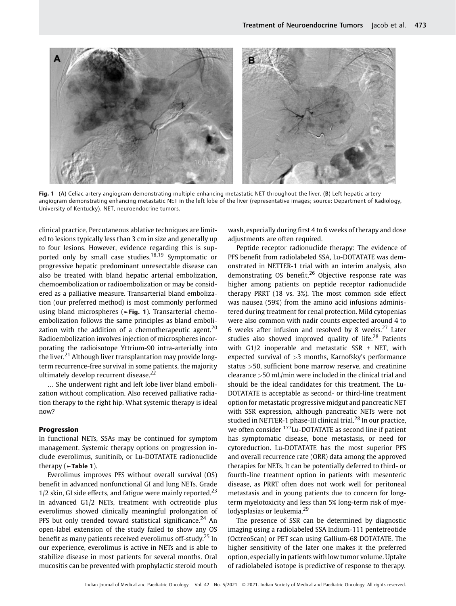

Fig. 1 (A) Celiac artery angiogram demonstrating multiple enhancing metastatic NET throughout the liver. (B) Left hepatic artery angiogram demonstrating enhancing metastatic NET in the left lobe of the liver (representative images; source: Department of Radiology, University of Kentucky). NET, neuroendocrine tumors.

clinical practice. Percutaneous ablative techniques are limited to lesions typically less than 3 cm in size and generally up to four lesions. However, evidence regarding this is supported only by small case studies.<sup>18,19</sup> Symptomatic or progressive hepatic predominant unresectable disease can also be treated with bland hepatic arterial embolization, chemoembolization or radioembolization or may be considered as a palliative measure. Transarterial bland embolization (our preferred method) is most commonly performed using bland microspheres (►Fig. 1). Transarterial chemoembolization follows the same principles as bland embolization with the addition of a chemotherapeutic agent.<sup>20</sup> Radioembolization involves injection of microspheres incorporating the radioisotope Yttrium-90 intra-arterially into the liver.<sup>21</sup> Although liver transplantation may provide longterm recurrence-free survival in some patients, the majority ultimately develop recurrent disease.<sup>22</sup>

… She underwent right and left lobe liver bland embolization without complication. Also received palliative radiation therapy to the right hip. What systemic therapy is ideal now?

### Progression

In functional NETs, SSAs may be continued for symptom management. Systemic therapy options on progression include everolimus, sunitinib, or Lu-DOTATATE radionuclide therapy  $($   $\blacktriangleright$  Table 1).

Everolimus improves PFS without overall survival (OS) benefit in advanced nonfunctional GI and lung NETs. Grade  $1/2$  skin, GI side effects, and fatigue were mainly reported.<sup>23</sup> In advanced G1/2 NETs, treatment with octreotide plus everolimus showed clinically meaningful prolongation of PFS but only trended toward statistical significance.<sup>24</sup> An open-label extension of the study failed to show any OS benefit as many patients received everolimus off-study.<sup>25</sup> In our experience, everolimus is active in NETs and is able to stabilize disease in most patients for several months. Oral mucositis can be prevented with prophylactic steroid mouth wash, especially during first 4 to 6 weeks of therapy and dose adjustments are often required.

Peptide receptor radionuclide therapy: The evidence of PFS benefit from radiolabeled SSA, Lu-DOTATATE was demonstrated in NETTER-1 trial with an interim analysis, also demonstrating OS benefit.<sup>26</sup> Objective response rate was higher among patients on peptide receptor radionuclide therapy PRRT (18 vs. 3%). The most common side effect was nausea (59%) from the amino acid infusions administered during treatment for renal protection. Mild cytopenias were also common with nadir counts expected around 4 to 6 weeks after infusion and resolved by 8 weeks.<sup>27</sup> Later studies also showed improved quality of life.<sup>28</sup> Patients with G1/2 inoperable and metastatic SSR + NET, with expected survival of  $>3$  months, Karnofsky's performance status >50, sufficient bone marrow reserve, and creatinine clearance >50 mL/min were included in the clinical trial and should be the ideal candidates for this treatment. The Lu-DOTATATE is acceptable as second- or third-line treatment option for metastatic progressive midgut and pancreatic NET with SSR expression, although pancreatic NETs were not studied in NETTER-1 phase-III clinical trial.<sup>28</sup> In our practice, we often consider 177Lu-DOTATATE as second line if patient has symptomatic disease, bone metastasis, or need for cytoreduction. Lu-DOTATATE has the most superior PFS and overall recurrence rate (ORR) data among the approved therapies for NETs. It can be potentially deferred to third- or fourth-line treatment option in patients with mesenteric disease, as PRRT often does not work well for peritoneal metastasis and in young patients due to concern for longterm myelotoxicity and less than 5% long-term risk of myelodysplasias or leukemia.<sup>29</sup>

The presence of SSR can be determined by diagnostic imaging using a radiolabeled SSA Indium-111 pentetreotide (OctreoScan) or PET scan using Gallium-68 DOTATATE. The higher sensitivity of the later one makes it the preferred option, especially in patients with low tumor volume. Uptake of radiolabeled isotope is predictive of response to therapy.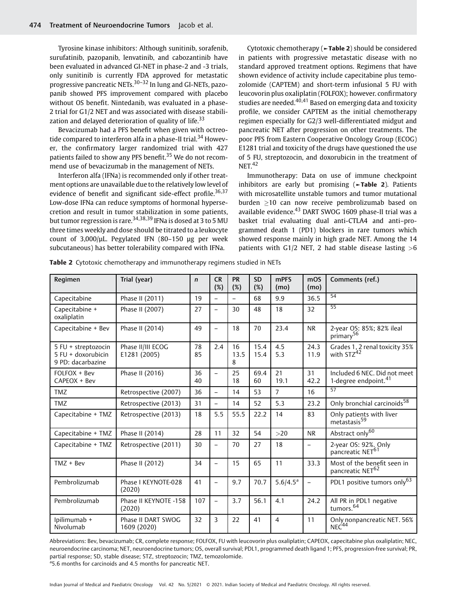Tyrosine kinase inhibitors: Although sunitinib, sorafenib, surufatinib, pazopanib, lenvatinib, and cabozantinib have been evaluated in advanced GI-NET in phase-2 and -3 trials, only sunitinib is currently FDA approved for metastatic progressive pancreatic NETs.30–<sup>32</sup> In lung and GI-NETs, pazopanib showed PFS improvement compared with placebo without OS benefit. Nintedanib, was evaluated in a phase-2 trial for G1/2 NET and was associated with disease stabilization and delayed deterioration of quality of life.<sup>33</sup>

Bevacizumab had a PFS benefit when given with octreotide compared to interferon alfa in a phase-II trial.<sup>34</sup> However, the confirmatory larger randomized trial with 427 patients failed to show any PFS benefit.<sup>35</sup> We do not recommend use of bevacizumab in the management of NETs.

Interferon alfa (IFNa) is recommended only if other treatment options are unavailable due to the relatively low level of evidence of benefit and significant side-effect profile.<sup>36,37</sup> Low-dose IFNa can reduce symptoms of hormonal hypersecretion and result in tumor stabilization in some patients, but tumor regression is rare.<sup>34,38,39</sup> IFNa is dosed at 3 to 5 MU three times weekly and dose should be titrated to a leukocyte count of  $3,000/\mu$ L. Pegylated IFN (80-150  $\mu$ g per week subcutaneous) has better tolerability compared with IFNa.

Cytotoxic chemotherapy (►Table 2) should be considered in patients with progressive metastatic disease with no standard approved treatment options. Regimens that have shown evidence of activity include capecitabine plus temozolomide (CAPTEM) and short-term infusional 5 FU with leucovorin plus oxaliplatin (FOLFOX); however. confirmatory studies are needed. $40,41$  Based on emerging data and toxicity profile, we consider CAPTEM as the initial chemotherapy regimen especially for G2/3 well-differentiated midgut and pancreatic NET after progression on other treatments. The poor PFS from Eastern Cooperative Oncology Group (ECOG) E1281 trial and toxicity of the drugs have questioned the use of 5 FU, streptozocin, and doxorubicin in the treatment of  $NET.<sup>42</sup>$ 

Immunotherapy: Data on use of immune checkpoint inhibitors are early but promising (►Table 2). Patients with microsatellite unstable tumors and tumor mutational burden 10 can now receive pembrolizumab based on available evidence.<sup>43</sup> DART SWOG 1609 phase-II trial was a basket trial evaluating dual anti-CTLA4 and anti–programmed death 1 (PD1) blockers in rare tumors which showed response mainly in high grade NET. Among the 14 patients with G1/2 NET, 2 had stable disease lasting  $>6$ 

| Regimen                                                          | Trial (year)                      | $\mathsf{n}$ | <b>CR</b><br>(%)         | <b>PR</b><br>(%) | <b>SD</b><br>(%) | <b>mPFS</b><br>(mo) | mOS<br>(mo)  | Comments (ref.)                                                  |
|------------------------------------------------------------------|-----------------------------------|--------------|--------------------------|------------------|------------------|---------------------|--------------|------------------------------------------------------------------|
| Capecitabine                                                     | Phase II (2011)                   | 19           | $\equiv$                 | $\equiv$         | 68               | 9.9                 | 36.5         | 54                                                               |
| Capecitabine +<br>oxaliplatin                                    | Phase II (2007)                   | 27           | $\equiv$                 | 30               | 48               | 18                  | 32           | 55                                                               |
| Capecitabine + Bev                                               | Phase II (2014)                   | 49           | $\equiv$                 | 18               | 70               | 23.4                | <b>NR</b>    | 2-year OS: 85%; 82% ileal<br>primary <sup>56</sup>               |
| 5 FU + streptozocin<br>$5$ FU + doxorubicin<br>9 PD: dacarbazine | Phase II/III ECOG<br>E1281 (2005) | 78<br>85     | 2.4                      | 16<br>13.5<br>8  | 15.4<br>15.4     | 4.5<br>5.3          | 24.3<br>11.9 | Grades 1, 2 renal toxicity 35%<br>with STZ <sup>42</sup>         |
| FOLFOX + Bev<br>CAPEOX + Bev                                     | Phase II (2016)                   | 36<br>40     | $\overline{\phantom{0}}$ | 25<br>18         | 69.4<br>60       | 21<br>19.1          | 31<br>42.2   | Included 6 NEC. Did not meet<br>1-degree endpoint. <sup>41</sup> |
| <b>TMZ</b>                                                       | Retrospective (2007)              | 36           | $\overline{\phantom{0}}$ | 14               | 53               | $\overline{7}$      | 16           | 57                                                               |
| <b>TMZ</b>                                                       | Retrospective (2013)              | 31           | $\equiv$                 | 14               | 52               | 5.3                 | 23.2         | Only bronchial carcinoids <sup>58</sup>                          |
| Capecitabine + TMZ                                               | Retrospective (2013)              | 18           | 5.5                      | 55.5             | 22.2             | 14                  | 83           | Only patients with liver<br>metastasis <sup>59</sup>             |
| Capecitabine + TMZ                                               | Phase II (2014)                   | 28           | 11                       | 32               | 54               | >20                 | <b>NR</b>    | Abstract only <sup>60</sup>                                      |
| Capecitabine + TMZ                                               | Retrospective (2011)              | 30           | $\equiv$                 | 70               | 27               | 18                  | L.           | 2-year OS: 92%. Only<br>pancreatic NET <sup>61</sup>             |
| $TMZ + Bev$                                                      | Phase II (2012)                   | 34           | $\equiv$                 | 15               | 65               | 11                  | 33.3         | Most of the benefit seen in<br>pancreatic NET <sup>62</sup>      |
| Pembrolizumab                                                    | Phase I KEYNOTE-028<br>(2020)     | 41           | $\equiv$                 | 9.7              | 70.7             | $5.6/4.5^a$         | $=$          | PDL1 positive tumors only <sup>63</sup>                          |
| Pembrolizumab                                                    | Phase II KEYNOTE -158<br>(2020)   | 107          | $\overline{\phantom{0}}$ | 3.7              | 56.1             | 4.1                 | 24.2         | All PR in PDL1 negative<br>tumors. <sup>64</sup>                 |
| Ipilimumab +<br>Nivolumab                                        | Phase II DART SWOG<br>1609 (2020) | 32           | 3                        | 22               | 41               | 4                   | 11           | Only nonpancreatic NET. 56%<br>NEC <sup>44</sup>                 |

Table 2 Cytotoxic chemotherapy and immunotherapy regimens studied in NETs

Abbreviations: Bev, bevacizumab; CR, complete response; FOLFOX, FU with leucovorin plus oxaliplatin; CAPEOX, capecitabine plus oxaliplatin; NEC, neuroendocrine carcinoma; NET, neuroendocrine tumors; OS, overall survival; PDL1, programmed death ligand 1; PFS, progression-free survival; PR, partial response; SD, stable disease; STZ, streptozocin; TMZ, temozolomide. <sup>a</sup>5.6 months for carcinoids and 4.5 months for pancreatic NET.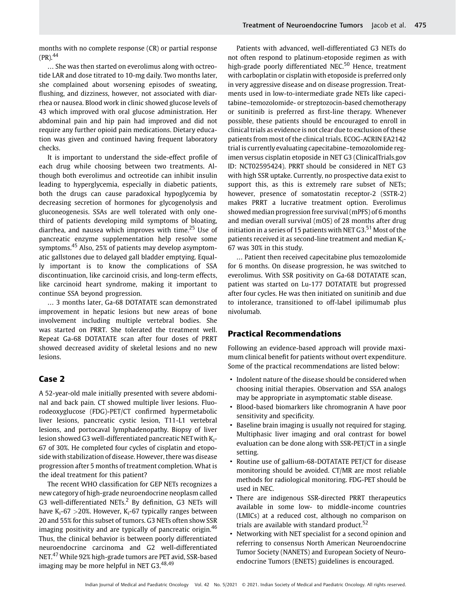months with no complete response (CR) or partial response  $(PR)$ <sup>44</sup>

… She was then started on everolimus along with octreotide LAR and dose titrated to 10-mg daily. Two months later, she complained about worsening episodes of sweating, flushing, and dizziness, however, not associated with diarrhea or nausea. Blood work in clinic showed glucose levels of 43 which improved with oral glucose administration. Her abdominal pain and hip pain had improved and did not require any further opioid pain medications. Dietary education was given and continued having frequent laboratory checks.

It is important to understand the side-effect profile of each drug while choosing between two treatments. Although both everolimus and octreotide can inhibit insulin leading to hyperglycemia, especially in diabetic patients, both the drugs can cause paradoxical hypoglycemia by decreasing secretion of hormones for glycogenolysis and gluconeogenesis. SSAs are well tolerated with only onethird of patients developing mild symptoms of bloating, diarrhea, and nausea which improves with time.<sup>25</sup> Use of pancreatic enzyme supplementation help resolve some symptoms.<sup>45</sup> Also, 25% of patients may develop asymptomatic gallstones due to delayed gall bladder emptying. Equally important is to know the complications of SSA discontinuation, like carcinoid crisis, and long-term effects, like carcinoid heart syndrome, making it important to continue SSA beyond progression.

… 3 months later, Ga-68 DOTATATE scan demonstrated improvement in hepatic lesions but new areas of bone involvement including multiple vertebral bodies. She was started on PRRT. She tolerated the treatment well. Repeat Ga-68 DOTATATE scan after four doses of PRRT showed decreased avidity of skeletal lesions and no new lesions.

### Case 2

A 52-year-old male initially presented with severe abdominal and back pain. CT showed multiple liver lesions. Fluorodeoxyglucose (FDG)-PET/CT confirmed hypermetabolic liver lesions, pancreatic cystic lesion, T11-L1 vertebral lesions, and portocaval lymphadenopathy. Biopsy of liver lesion showed G3 well-differentiated pancreatic NET with K<sub>i</sub>-67 of 30%. He completed four cycles of cisplatin and etoposide with stabilization of disease. However, there was disease progression after 5 months of treatment completion. What is the ideal treatment for this patient?

The recent WHO classification for GEP NETs recognizes a new category of high-grade neuroendocrine neoplasm called G3 well-differentiated NETs.<sup>2</sup> By definition, G3 NETs will have K<sub>i</sub>-67  $>$ 20%. However, K<sub>i</sub>-67 typically ranges between 20 and 55% for this subset of tumors. G3 NETs often show SSR imaging positivity and are typically of pancreatic origin.<sup>46</sup> Thus, the clinical behavior is between poorly differentiated neuroendocrine carcinoma and G2 well-differentiated NET.<sup>47</sup> While 92% high-grade tumors are PET avid, SSR-based imaging may be more helpful in NET G3.<sup>48,49</sup>

Patients with advanced, well-differentiated G3 NETs do not often respond to platinum-etoposide regimen as with high-grade poorly differentiated NEC.<sup>50</sup> Hence, treatment with carboplatin or cisplatin with etoposide is preferred only in very aggressive disease and on disease progression. Treatments used in low-to-intermediate grade NETs like capecitabine–temozolomide- or streptozocin-based chemotherapy or sunitinib is preferred as first-line therapy. Whenever possible, these patients should be encouraged to enroll in clinical trials as evidence is not clear due to exclusion of these patients from most of the clinical trials. ECOG-ACRIN EA2142 trial is currently evaluating capecitabine–temozolomide regimen versus cisplatin etoposide in NET G3 (ClinicalTrials.gov ID: NCT02595424). PRRT should be considered in NET G3 with high SSR uptake. Currently, no prospective data exist to support this, as this is extremely rare subset of NETs; however, presence of somatostatin receptor-2 (SSTR-2) makes PRRT a lucrative treatment option. Everolimus showed median progression free survival (mPFS) of 6 months and median overall survival (mOS) of 28 months after drug initiation in a series of 15 patients with NET G3.<sup>51</sup> Most of the patients received it as second-line treatment and median Ki-67 was 30% in this study.

… Patient then received capecitabine plus temozolomide for 6 months. On disease progression, he was switched to everolimus. With SSR positivity on Ga-68 DOTATATE scan, patient was started on Lu-177 DOTATATE but progressed after four cycles. He was then initiated on sunitinib and due to intolerance, transitioned to off-label ipilimumab plus nivolumab.

### Practical Recommendations

Following an evidence-based approach will provide maximum clinical benefit for patients without overt expenditure. Some of the practical recommendations are listed below:

- Indolent nature of the disease should be considered when choosing initial therapies. Observation and SSA analogs may be appropriate in asymptomatic stable disease.
- Blood-based biomarkers like chromogranin A have poor sensitivity and specificity.
- Baseline brain imaging is usually not required for staging. Multiphasic liver imaging and oral contrast for bowel evaluation can be done along with SSR-PET/CT in a single setting.
- Routine use of gallium-68-DOTATATE PET/CT for disease monitoring should be avoided. CT/MR are most reliable methods for radiological monitoring. FDG-PET should be used in NEC.
- There are indigenous SSR-directed PRRT therapeutics available in some low- to middle-income countries (LMICs) at a reduced cost, although no comparison on trials are available with standard product.<sup>52</sup>
- Networking with NET specialist for a second opinion and referring to consensus North American Neuroendocrine Tumor Society (NANETS) and European Society of Neuroendocrine Tumors (ENETS) guidelines is encouraged.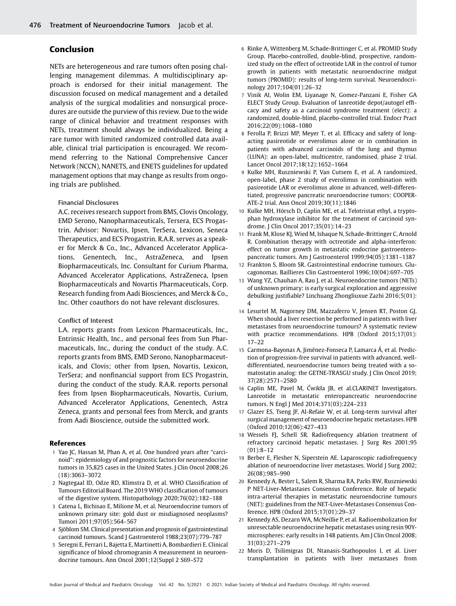## Conclusion

NETs are heterogeneous and rare tumors often posing challenging management dilemmas. A multidisciplinary approach is endorsed for their initial management. The discussion focused on medical management and a detailed analysis of the surgical modalities and nonsurgical procedures are outside the purview of this review. Due to the wide range of clinical behavior and treatment responses with NETs, treatment should always be individualized. Being a rare tumor with limited randomized controlled data available, clinical trial participation is encouraged. We recommend referring to the National Comprehensive Cancer Network (NCCN), NANETS, and ENETS guidelines for updated management options that may change as results from ongoing trials are published.

### Financial Disclosures

A.C. receives research support from BMS, Clovis Oncology, EMD Serono, Nanopharmaceuticals, Tersera, ECS Progastrin. Advisor: Novartis, Ipsen, TerSera, Lexicon, Seneca Therapeutics, and ECS Progastrin. R.A.R. serves as a speaker for Merck & Co., Inc., Advanced Accelerator Applications, Genentech, Inc., AstraZeneca, and Ipsen Biopharmaceuticals, Inc. Consultant for Curium Pharma, Advanced Accelerator Applications, AstraZeneca, Ipsen Biopharmaceuticals and Novartis Pharmaceuticals, Corp. Research funding from Aadi Biosciences, and Merck & Co., Inc. Other coauthors do not have relevant disclosures.

### Conflict of Interest

L.A. reports grants from Lexicon Pharmaceuticals, Inc., Entrinsic Health, Inc., and personal fees from Sun Pharmaceuticals, Inc., during the conduct of the study. A.C. reports grants from BMS, EMD Serono, Nanopharmaceuticals, and Clovis; other from Ipsen, Novartis, Lexicon, TerSera; and nonfinancial support from ECS Progastrin, during the conduct of the study. R.A.R. reports personal fees from Ipsen Biopharmaceuticals, Novartis, Curium, Advanced Accelerator Applications, Genentech, Astra Zeneca, grants and personal fees from Merck, and grants from Aadi Bioscience, outside the submitted work.

### References

- 1 Yao JC, Hassan M, Phan A, et al. One hundred years after "carcinoid": epidemiology of and prognostic factors for neuroendocrine tumors in 35,825 cases in the United States. J Clin Oncol 2008;26 (18):3063–3072
- 2 Nagtegaal ID, Odze RD, Klimstra D, et al. WHO Classification of Tumours Editorial Board. The 2019 WHO classification of tumours of the digestive system. Histopathology 2020;76(02):182–188
- 3 Catena L, Bichisao E, Milione M, et al. Neuroendocrine tumors of unknown primary site: gold dust or misdiagnosed neoplasms? Tumori 2011;97(05):564–567
- 4 Sjöblom SM. Clinical presentation and prognosis of gastrointestinal carcinoid tumours. Scand J Gastroenterol 1988;23(07):779–787
- 5 Seregni E, Ferrari L, Bajetta E, Martinetti A, Bombardieri E. Clinical significance of blood chromogranin A measurement in neuroendocrine tumours. Ann Oncol 2001;12(Suppl 2 S69–S72
- 6 Rinke A, Wittenberg M, Schade-Brittinger C, et al. PROMID Study Group. Placebo-controlled, double-blind, prospective, randomized study on the effect of octreotide LAR in the control of tumor growth in patients with metastatic neuroendocrine midgut tumors (PROMID): results of long-term survival. Neuroendocrinology 2017;104(01):26–32
- 7 Vinik AI, Wolin EM, Liyanage N, Gomez-Panzani E, Fisher GA ELECT Study Group. Evaluation of lanreotide depot/autogel efficacy and safety as a carcinoid syndrome treatment (elect): a randomized, double-blind, placebo-controlled trial. Endocr Pract 2016;22(09):1068–1080
- 8 Ferolla P, Brizzi MP, Meyer T, et al. Efficacy and safety of longacting pasireotide or everolimus alone or in combination in patients with advanced carcinoids of the lung and thymus (LUNA): an open-label, multicentre, randomised, phase 2 trial. Lancet Oncol 2017;18(12):1652–1664
- 9 Kulke MH, Ruszniewski P, Van Cutsem E, et al. A randomized, open-label, phase 2 study of everolimus in combination with pasireotide LAR or everolimus alone in advanced, well-differentiated, progressive pancreatic neuroendocrine tumors: COOPER-ATE-2 trial. Ann Oncol 2019;30(11):1846
- 10 Kulke MH, Hörsch D, Caplin ME, et al. Telotristat ethyl, a tryptophan hydroxylase inhibitor for the treatment of carcinoid syndrome. J Clin Oncol 2017;35(01):14–23
- Frank M, Klose KJ, Wied M, Ishaque N, Schade-Brittinger C, Arnold R. Combination therapy with octreotide and alpha-interferon: effect on tumor growth in metastatic endocrine gastroenteropancreatic tumors. Am J Gastroenterol 1999;94(05):1381–1387
- 12 Frankton S, Bloom SR. Gastrointestinal endocrine tumours. Glucagonomas. Baillieres Clin Gastroenterol 1996;10(04):697–705
- Wang YZ, Chauhan A, Rau J, et al. Neuroendocrine tumors (NETs) of unknown primary: is early surgical exploration and aggressive debulking justifiable? Linchuang Zhongliuxue Zazhi 2016;5(01): 4
- 14 Lesurtel M, Nagorney DM, Mazzaferro V, Jensen RT, Poston GJ. When should a liver resection be performed in patients with liver metastases from neuroendocrine tumours? A systematic review with practice recommendations. HPB (Oxford 2015;17(01): 17–22
- 15 Carmona-Bayonas A, Jiménez-Fonseca P, Lamarca Á, et al. Prediction of progression-free survival in patients with advanced, welldifferentiated, neuroendocrine tumors being treated with a somatostatin analog: the GETNE-TRASGU study. J Clin Oncol 2019; 37(28):2571–2580
- 16 Caplin ME, Pavel M, Ćwikła JB, et al.CLARINET Investigators. Lanreotide in metastatic enteropancreatic neuroendocrine tumors. N Engl J Med 2014;371(03):224–233
- 17 Glazer ES, Tseng JF, Al-Refaie W, et al. Long-term survival after surgical management of neuroendocrine hepatic metastases. HPB (Oxford 2010;12(06):427–433
- 18 Wessels FJ, Schell SR. Radiofrequency ablation treatment of refractory carcinoid hepatic metastases. J Surg Res 2001;95 (01):8–12
- 19 Berber E, Flesher N, Siperstein AE. Laparoscopic radiofrequency ablation of neuroendocrine liver metastases. World J Surg 2002; 26(08):985–990
- 20 Kennedy A, Bester L, Salem R, Sharma RA, Parks RW, Ruszniewski P NET-Liver-Metastases Consensus Conference. Role of hepatic intra-arterial therapies in metastatic neuroendocrine tumours (NET): guidelines from the NET-Liver-Metastases Consensus Conference. HPB (Oxford 2015;17(01):29–37
- 21 Kennedy AS, Dezarn WA, McNeillie P, et al. Radioembolization for unresectable neuroendocrine hepatic metastases using resin 90Ymicrospheres: early results in 148 patients. Am J Clin Oncol 2008; 31(03):271–279
- 22 Moris D, Tsilimigras DI, Ntanasis-Stathopoulos I, et al. Liver transplantation in patients with liver metastases from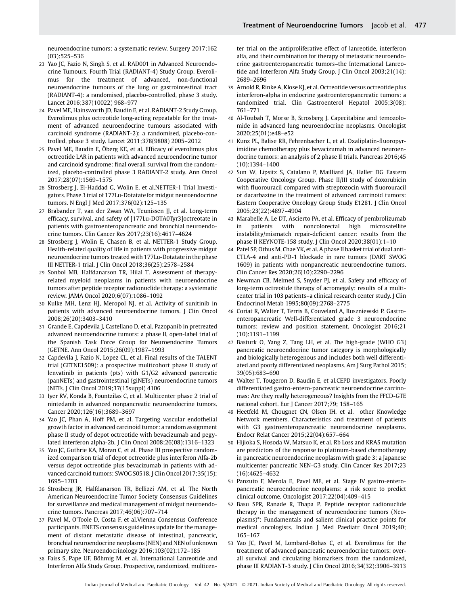neuroendocrine tumors: a systematic review. Surgery 2017;162 (03):525–536

- 23 Yao JC, Fazio N, Singh S, et al. RAD001 in Advanced Neuroendocrine Tumours, Fourth Trial (RADIANT-4) Study Group. Everolimus for the treatment of advanced, non-functional neuroendocrine tumours of the lung or gastrointestinal tract (RADIANT-4): a randomised, placebo-controlled, phase 3 study. Lancet 2016;387(10022) 968–977
- 24 Pavel ME, Hainsworth JD, Baudin E, et al. RADIANT-2 Study Group. Everolimus plus octreotide long-acting repeatable for the treatment of advanced neuroendocrine tumours associated with carcinoid syndrome (RADIANT-2): a randomised, placebo-controlled, phase 3 study. Lancet 2011;378(9808) 2005–2012
- 25 Pavel ME, Baudin E, Öberg KE, et al. Efficacy of everolimus plus octreotide LAR in patients with advanced neuroendocrine tumor and carcinoid syndrome: final overall survival from the randomized, placebo-controlled phase 3 RADIANT-2 study. Ann Oncol 2017;28(07):1569–1575
- 26 Strosberg J, El-Haddad G, Wolin E, et al.NETTER-1 Trial Investigators. Phase 3 trial of 177Lu-Dotatate for midgut neuroendocrine tumors. N Engl J Med 2017;376(02):125–135
- 27 Brabander T, van der Zwan WA, Teunissen JJ, et al. Long-term efficacy, survival, and safety of [177Lu-DOTA0Tyr3]octreotate in patients with gastroenteropancreatic and bronchial neuroendocrine tumors. Clin Cancer Res 2017;23(16):4617–4624
- 28 Strosberg J, Wolin E, Chasen B, et al. NETTER-1 Study Group. Health-related quality of life in patients with progressive midgut neuroendocrine tumors treated with 177Lu-Dotatate in the phase III NETTER-1 trial. J Clin Oncol 2018;36(25):2578–2584
- 29 Sonbol MB, Halfdanarson TR, Hilal T. Assessment of therapyrelated myeloid neoplasms in patients with neuroendocrine tumors after peptide receptor radionuclide therapy: a systematic review. JAMA Oncol 2020;6(07):1086–1092
- 30 Kulke MH, Lenz HJ, Meropol NJ, et al. Activity of sunitinib in patients with advanced neuroendocrine tumors. J Clin Oncol 2008;26(20):3403–3410
- 31 Grande E, Capdevila J, Castellano D, et al. Pazopanib in pretreated advanced neuroendocrine tumors: a phase II, open-label trial of the Spanish Task Force Group for Neuroendocrine Tumors (GETNE. Ann Oncol 2015;26(09):1987–1993
- 32 Capdevila J, Fazio N, Lopez CL, et al. Final results of the TALENT trial (GETNE1509): a prospective multicohort phase II study of lenvatinib in patients (pts) with G1/G2 advanced pancreatic (panNETs) and gastrointestinal (giNETs) neuroendocrine tumors (NETs. J Clin Oncol 2019;37(15suppl) 4106
- 33 Iyer RV, Konda B, Fountzilas C, et al. Multicenter phase 2 trial of nintedanib in advanced nonpancreatic neuroendocrine tumors. Cancer 2020;126(16):3689–3697
- 34 Yao JC, Phan A, Hoff PM, et al. Targeting vascular endothelial growth factor in advanced carcinoid tumor: a random assignment phase II study of depot octreotide with bevacizumab and pegylated interferon alpha-2b. J Clin Oncol 2008;26(08):1316–1323
- 35 Yao JC, Guthrie KA, Moran C, et al. Phase III prospective randomized comparison trial of depot octreotide plus interferon Alfa-2b versus depot octreotide plus bevacizumab in patients with advanced carcinoid tumors: SWOG S0518. J Clin Oncol 2017;35(15): 1695–1703
- 36 Strosberg JR, Halfdanarson TR, Bellizzi AM, et al. The North American Neuroendocrine Tumor Society Consensus Guidelines for surveillance and medical management of midgut neuroendocrine tumors. Pancreas 2017;46(06):707–714
- 37 Pavel M, O'Toole D, Costa F, et al.Vienna Consensus Conference participants. ENETS consensus guidelines update for the management of distant metastatic disease of intestinal, pancreatic, bronchial neuroendocrine neoplasms (NEN) and NEN of unknown primary site. Neuroendocrinology 2016;103(02):172–185
- 38 Faiss S, Pape UF, Böhmig M, et al. International Lanreotide and Interferon Alfa Study Group. Prospective, randomized, multicen-

ter trial on the antiproliferative effect of lanreotide, interferon alfa, and their combination for therapy of metastatic neuroendocrine gastroenteropancreatic tumors–the International Lanreotide and Interferon Alfa Study Group. J Clin Oncol 2003;21(14): 2689–2696

- 39 Arnold R, Rinke A, Klose KJ, et al. Octreotide versus octreotide plus interferon-alpha in endocrine gastroenteropancreatic tumors: a randomized trial. Clin Gastroenterol Hepatol 2005;3(08): 761–771
- 40 Al-Toubah T, Morse B, Strosberg J. Capecitabine and temozolomide in advanced lung neuroendocrine neoplasms. Oncologist 2020;25(01):e48–e52
- 41 Kunz PL, Balise RR, Fehrenbacher L, et al. Oxaliplatin-fluoropyrimidine chemotherapy plus bevacizumab in advanced neuroendocrine tumors: an analysis of 2 phase II trials. Pancreas 2016;45 (10):1394–1400
- 42 Sun W, Lipsitz S, Catalano P, Mailliard JA, Haller DG Eastern Cooperative Oncology Group. Phase II/III study of doxorubicin with fluorouracil compared with streptozocin with fluorouracil or dacarbazine in the treatment of advanced carcinoid tumors: Eastern Cooperative Oncology Group Study E1281. J Clin Oncol 2005;23(22):4897–4904
- 43 Marabelle A, Le DT, Ascierto PA, et al. Efficacy of pembrolizumab in patients with noncolorectal high microsatellite instability/mismatch repair-deficient cancer: results from the phase II KEYNOTE-158 study. J Clin Oncol 2020;38(01):1–10
- 44 Patel SP, Othus M, Chae YK, et al. A phase II basket trial of dual anti-CTLA-4 and anti-PD-1 blockade in rare tumors (DART SWOG 1609) in patients with nonpancreatic neuroendocrine tumors. Clin Cancer Res 2020;26(10):2290–2296
- 45 Newman CB, Melmed S, Snyder PJ, et al. Safety and efficacy of long-term octreotide therapy of acromegaly: results of a multicenter trial in 103 patients–a clinical research center study. J Clin Endocrinol Metab 1995;80(09):2768–2775
- 46 Coriat R, Walter T, Terris B, Couvelard A, Ruszniewski P. Gastroenteropancreatic Well-differentiated grade 3 neuroendocrine tumors: review and position statement. Oncologist 2016;21 (10):1191–1199
- 47 Basturk O, Yang Z, Tang LH, et al. The high-grade (WHO G3) pancreatic neuroendocrine tumor category is morphologically and biologically heterogenous and includes both well differentiated and poorly differentiated neoplasms. Am J Surg Pathol 2015; 39(05):683–690
- 48 Walter T, Tougeron D, Baudin E, et al.CEPD investigators. Poorly differentiated gastro-entero-pancreatic neuroendocrine carcinomas: Are they really heterogeneous? Insights from the FFCD-GTE national cohort. Eur J Cancer 2017;79; 158–165
- 49 Heetfeld M, Chougnet CN, Olsen IH, et al. other Knowledge Network members. Characteristics and treatment of patients with G3 gastroenteropancreatic neuroendocrine neoplasms. Endocr Relat Cancer 2015;22(04):657–664
- 50 Hijioka S, Hosoda W, Matsuo K, et al. Rb Loss and KRAS mutation are predictors of the response to platinum-based chemotherapy in pancreatic neuroendocrine neoplasm with grade 3: a Japanese multicenter pancreatic NEN-G3 study. Clin Cancer Res 2017;23 (16):4625–4632
- 51 Panzuto F, Merola E, Pavel ME, et al. Stage IV gastro-enteropancreatic neuroendocrine neoplasms: a risk score to predict clinical outcome. Oncologist 2017;22(04):409–415
- 52 Basu SPR, Ranade R, Thapa P. Peptide receptor radionuclide therapy in the management of neuroendocrine tumors (Neoplasms)\*: Fundamentals and salient clinical practice points for medical oncologists. Indian J Med Paediatr Oncol 2019;40; 165–167
- 53 Yao JC, Pavel M, Lombard-Bohas C, et al. Everolimus for the treatment of advanced pancreatic neuroendocrine tumors: overall survival and circulating biomarkers from the randomized, phase III RADIANT-3 study. J Clin Oncol 2016;34(32):3906–3913